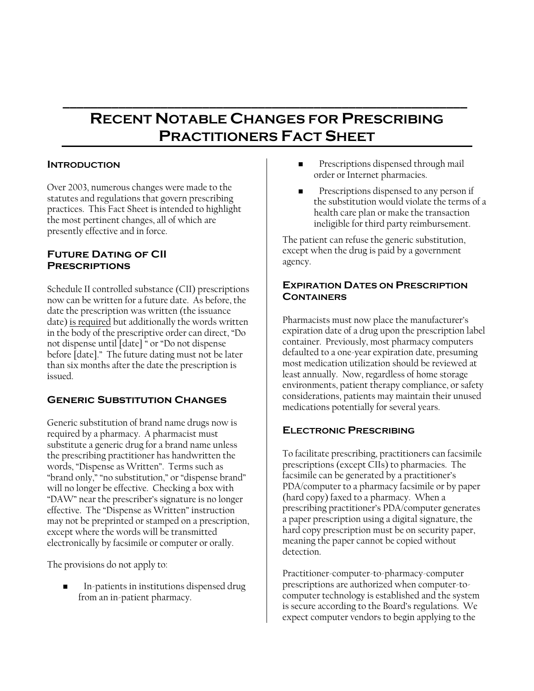# **RECENT NOTABLE CHANGES FOR PRESCRIBING PRACTITIONERS FACT SHEET**

**\_\_\_\_\_\_\_\_\_\_\_\_\_\_\_\_\_\_\_\_\_\_\_\_\_\_\_\_\_\_\_\_\_\_\_\_\_\_\_\_\_\_\_\_\_\_\_\_\_\_\_\_\_\_\_\_\_\_** 

### **INTRODUCTION**

Over 2003, numerous changes were made to the statutes and regulations that govern prescribing practices. This Fact Sheet is intended to highlight the most pertinent changes, all of which are presently effective and in force.

## **Future Dating of CII Prescriptions**

Schedule II controlled substance (CII) prescriptions now can be written for a future date. As before, the date the prescription was written (the issuance date) is required but additionally the words written in the body of the prescriptive order can direct, "Do not dispense until [date] " or "Do not dispense before [date]." The future dating must not be later than six months after the date the prescription is issued.

## **Generic Substitution Changes**

Generic substitution of brand name drugs now is required by a pharmacy. A pharmacist must substitute a generic drug for a brand name unless the prescribing practitioner has handwritten the words, "Dispense as Written". Terms such as "brand only," "no substitution," or "dispense brand" will no longer be effective. Checking a box with "DAW" near the prescriber's signature is no longer effective. The "Dispense as Written" instruction may not be preprinted or stamped on a prescription, except where the words will be transmitted electronically by facsimile or computer or orally.

The provisions do not apply to:

 In-patients in institutions dispensed drug from an in-patient pharmacy.

- Prescriptions dispensed through mail order or Internet pharmacies.
- Prescriptions dispensed to any person if the substitution would violate the terms of a health care plan or make the transaction ineligible for third party reimbursement.

The patient can refuse the generic substitution, except when the drug is paid by a government agency.

#### **EXPIRATION DATES ON PRESCRIPTION CONTAINERS**

Pharmacists must now place the manufacturer's expiration date of a drug upon the prescription label container. Previously, most pharmacy computers defaulted to a one-year expiration date, presuming most medication utilization should be reviewed at least annually. Now, regardless of home storage environments, patient therapy compliance, or safety considerations, patients may maintain their unused medications potentially for several years.

## **ELECTRONIC PRESCRIBING**

To facilitate prescribing, practitioners can facsimile prescriptions (except CIIs) to pharmacies. The facsimile can be generated by a practitioner's PDA/computer to a pharmacy facsimile or by paper (hard copy) faxed to a pharmacy. When a prescribing practitioner's PDA/computer generates a paper prescription using a digital signature, the hard copy prescription must be on security paper, meaning the paper cannot be copied without detection.

Practitioner-computer-to-pharmacy-computer prescriptions are authorized when computer-tocomputer technology is established and the system is secure according to the Board's regulations. We expect computer vendors to begin applying to the